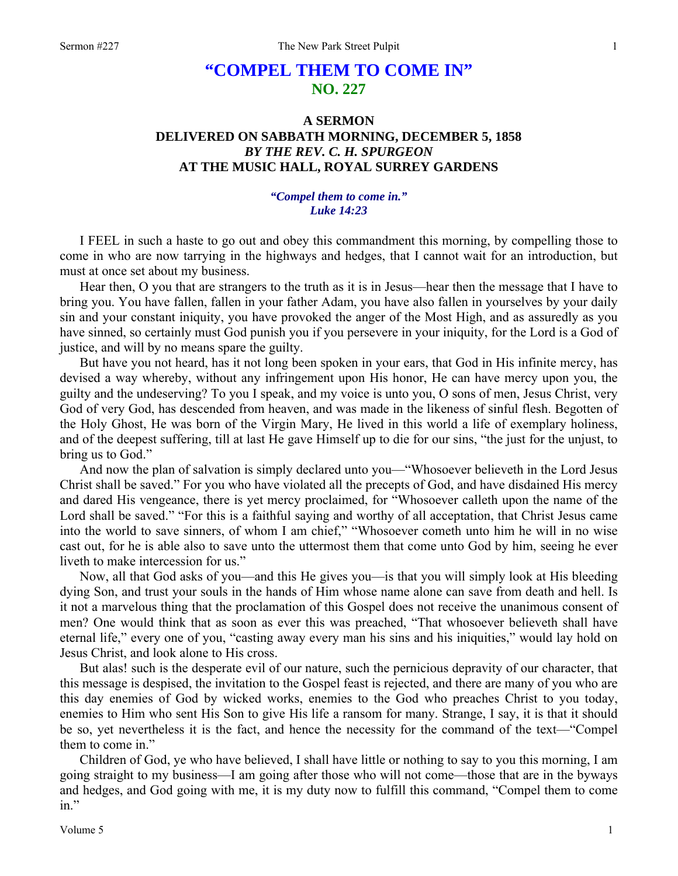# **"COMPEL THEM TO COME IN" NO. 227**

## **A SERMON DELIVERED ON SABBATH MORNING, DECEMBER 5, 1858**  *BY THE REV. C. H. SPURGEON*  **AT THE MUSIC HALL, ROYAL SURREY GARDENS**

#### *"Compel them to come in." Luke 14:23*

I FEEL in such a haste to go out and obey this commandment this morning, by compelling those to come in who are now tarrying in the highways and hedges, that I cannot wait for an introduction, but must at once set about my business.

Hear then, O you that are strangers to the truth as it is in Jesus—hear then the message that I have to bring you. You have fallen, fallen in your father Adam, you have also fallen in yourselves by your daily sin and your constant iniquity, you have provoked the anger of the Most High, and as assuredly as you have sinned, so certainly must God punish you if you persevere in your iniquity, for the Lord is a God of justice, and will by no means spare the guilty.

But have you not heard, has it not long been spoken in your ears, that God in His infinite mercy, has devised a way whereby, without any infringement upon His honor, He can have mercy upon you, the guilty and the undeserving? To you I speak, and my voice is unto you, O sons of men, Jesus Christ, very God of very God, has descended from heaven, and was made in the likeness of sinful flesh. Begotten of the Holy Ghost, He was born of the Virgin Mary, He lived in this world a life of exemplary holiness, and of the deepest suffering, till at last He gave Himself up to die for our sins, "the just for the unjust, to bring us to God."

And now the plan of salvation is simply declared unto you—"Whosoever believeth in the Lord Jesus Christ shall be saved." For you who have violated all the precepts of God, and have disdained His mercy and dared His vengeance, there is yet mercy proclaimed, for "Whosoever calleth upon the name of the Lord shall be saved." "For this is a faithful saying and worthy of all acceptation, that Christ Jesus came into the world to save sinners, of whom I am chief," "Whosoever cometh unto him he will in no wise cast out, for he is able also to save unto the uttermost them that come unto God by him, seeing he ever liveth to make intercession for us."

Now, all that God asks of you—and this He gives you—is that you will simply look at His bleeding dying Son, and trust your souls in the hands of Him whose name alone can save from death and hell. Is it not a marvelous thing that the proclamation of this Gospel does not receive the unanimous consent of men? One would think that as soon as ever this was preached, "That whosoever believeth shall have eternal life," every one of you, "casting away every man his sins and his iniquities," would lay hold on Jesus Christ, and look alone to His cross.

But alas! such is the desperate evil of our nature, such the pernicious depravity of our character, that this message is despised, the invitation to the Gospel feast is rejected, and there are many of you who are this day enemies of God by wicked works, enemies to the God who preaches Christ to you today, enemies to Him who sent His Son to give His life a ransom for many. Strange, I say, it is that it should be so, yet nevertheless it is the fact, and hence the necessity for the command of the text—"Compel them to come in."

Children of God, ye who have believed, I shall have little or nothing to say to you this morning, I am going straight to my business—I am going after those who will not come—those that are in the byways and hedges, and God going with me, it is my duty now to fulfill this command, "Compel them to come in."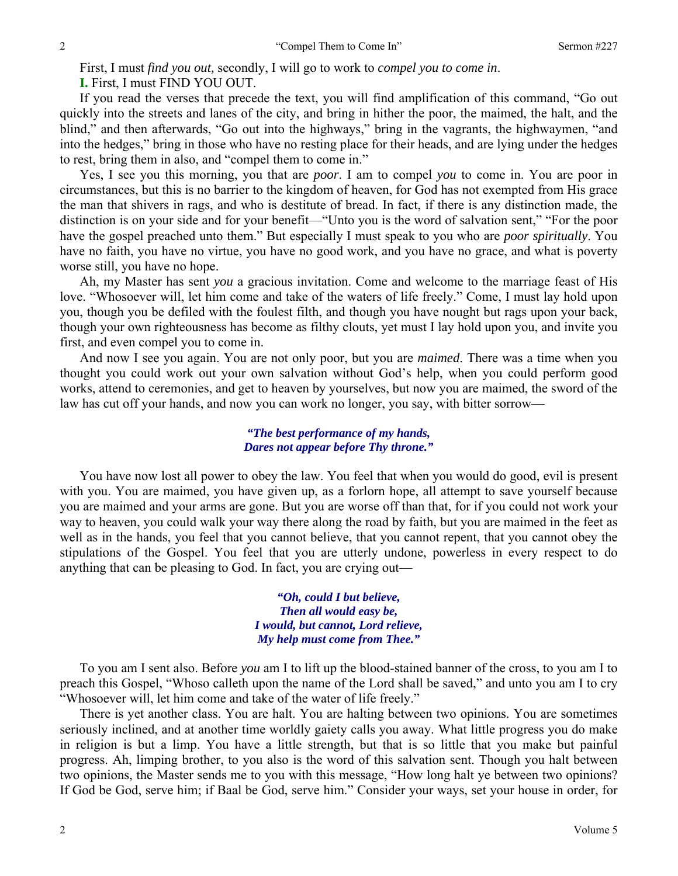First, I must *find you out,* secondly, I will go to work to *compel you to come in*.

**I.** First, I must FIND YOU OUT.

2

If you read the verses that precede the text, you will find amplification of this command, "Go out quickly into the streets and lanes of the city, and bring in hither the poor, the maimed, the halt, and the blind," and then afterwards, "Go out into the highways," bring in the vagrants, the highwaymen, "and into the hedges," bring in those who have no resting place for their heads, and are lying under the hedges to rest, bring them in also, and "compel them to come in."

Yes, I see you this morning, you that are *poor*. I am to compel *you* to come in. You are poor in circumstances, but this is no barrier to the kingdom of heaven, for God has not exempted from His grace the man that shivers in rags, and who is destitute of bread. In fact, if there is any distinction made, the distinction is on your side and for your benefit—"Unto you is the word of salvation sent," "For the poor have the gospel preached unto them." But especially I must speak to you who are *poor spiritually*. You have no faith, you have no virtue, you have no good work, and you have no grace, and what is poverty worse still, you have no hope.

Ah, my Master has sent *you* a gracious invitation. Come and welcome to the marriage feast of His love. "Whosoever will, let him come and take of the waters of life freely." Come, I must lay hold upon you, though you be defiled with the foulest filth, and though you have nought but rags upon your back, though your own righteousness has become as filthy clouts, yet must I lay hold upon you, and invite you first, and even compel you to come in.

And now I see you again. You are not only poor, but you are *maimed*. There was a time when you thought you could work out your own salvation without God's help, when you could perform good works, attend to ceremonies, and get to heaven by yourselves, but now you are maimed, the sword of the law has cut off your hands, and now you can work no longer, you say, with bitter sorrow—

### *"The best performance of my hands, Dares not appear before Thy throne."*

You have now lost all power to obey the law. You feel that when you would do good, evil is present with you. You are maimed, you have given up, as a forlorn hope, all attempt to save yourself because you are maimed and your arms are gone. But you are worse off than that, for if you could not work your way to heaven, you could walk your way there along the road by faith, but you are maimed in the feet as well as in the hands, you feel that you cannot believe, that you cannot repent, that you cannot obey the stipulations of the Gospel. You feel that you are utterly undone, powerless in every respect to do anything that can be pleasing to God. In fact, you are crying out—

> *"Oh, could I but believe, Then all would easy be, I would, but cannot, Lord relieve, My help must come from Thee."*

To you am I sent also. Before *you* am I to lift up the blood-stained banner of the cross, to you am I to preach this Gospel, "Whoso calleth upon the name of the Lord shall be saved," and unto you am I to cry "Whosoever will, let him come and take of the water of life freely."

There is yet another class. You are halt. You are halting between two opinions. You are sometimes seriously inclined, and at another time worldly gaiety calls you away. What little progress you do make in religion is but a limp. You have a little strength, but that is so little that you make but painful progress. Ah, limping brother, to you also is the word of this salvation sent. Though you halt between two opinions, the Master sends me to you with this message, "How long halt ye between two opinions? If God be God, serve him; if Baal be God, serve him." Consider your ways, set your house in order, for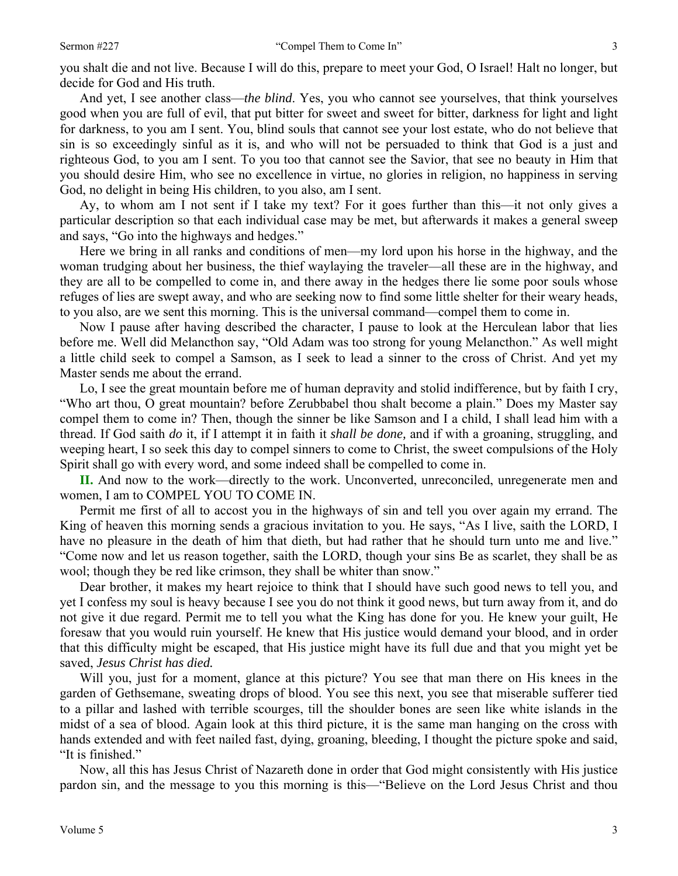you shalt die and not live. Because I will do this, prepare to meet your God, O Israel! Halt no longer, but decide for God and His truth.

And yet, I see another class—*the blind*. Yes, you who cannot see yourselves, that think yourselves good when you are full of evil, that put bitter for sweet and sweet for bitter, darkness for light and light for darkness, to you am I sent. You, blind souls that cannot see your lost estate, who do not believe that sin is so exceedingly sinful as it is, and who will not be persuaded to think that God is a just and righteous God, to you am I sent. To you too that cannot see the Savior, that see no beauty in Him that you should desire Him, who see no excellence in virtue, no glories in religion, no happiness in serving God, no delight in being His children, to you also, am I sent.

Ay, to whom am I not sent if I take my text? For it goes further than this—it not only gives a particular description so that each individual case may be met, but afterwards it makes a general sweep and says, "Go into the highways and hedges."

Here we bring in all ranks and conditions of men—my lord upon his horse in the highway, and the woman trudging about her business, the thief waylaying the traveler—all these are in the highway, and they are all to be compelled to come in, and there away in the hedges there lie some poor souls whose refuges of lies are swept away, and who are seeking now to find some little shelter for their weary heads, to you also, are we sent this morning. This is the universal command—compel them to come in.

Now I pause after having described the character, I pause to look at the Herculean labor that lies before me. Well did Melancthon say, "Old Adam was too strong for young Melancthon." As well might a little child seek to compel a Samson, as I seek to lead a sinner to the cross of Christ. And yet my Master sends me about the errand.

Lo, I see the great mountain before me of human depravity and stolid indifference, but by faith I cry, "Who art thou, O great mountain? before Zerubbabel thou shalt become a plain." Does my Master say compel them to come in? Then, though the sinner be like Samson and I a child, I shall lead him with a thread. If God saith *do* it, if I attempt it in faith it *shall be done,* and if with a groaning, struggling, and weeping heart, I so seek this day to compel sinners to come to Christ, the sweet compulsions of the Holy Spirit shall go with every word, and some indeed shall be compelled to come in.

**II.** And now to the work—directly to the work. Unconverted, unreconciled, unregenerate men and women, I am to COMPEL YOU TO COME IN.

Permit me first of all to accost you in the highways of sin and tell you over again my errand. The King of heaven this morning sends a gracious invitation to you. He says, "As I live, saith the LORD, I have no pleasure in the death of him that dieth, but had rather that he should turn unto me and live." "Come now and let us reason together, saith the LORD, though your sins Be as scarlet, they shall be as wool; though they be red like crimson, they shall be whiter than snow."

Dear brother, it makes my heart rejoice to think that I should have such good news to tell you, and yet I confess my soul is heavy because I see you do not think it good news, but turn away from it, and do not give it due regard. Permit me to tell you what the King has done for you. He knew your guilt, He foresaw that you would ruin yourself. He knew that His justice would demand your blood, and in order that this difficulty might be escaped, that His justice might have its full due and that you might yet be saved, *Jesus Christ has died.*

Will you, just for a moment, glance at this picture? You see that man there on His knees in the garden of Gethsemane, sweating drops of blood. You see this next, you see that miserable sufferer tied to a pillar and lashed with terrible scourges, till the shoulder bones are seen like white islands in the midst of a sea of blood. Again look at this third picture, it is the same man hanging on the cross with hands extended and with feet nailed fast, dying, groaning, bleeding, I thought the picture spoke and said, "It is finished."

Now, all this has Jesus Christ of Nazareth done in order that God might consistently with His justice pardon sin, and the message to you this morning is this—"Believe on the Lord Jesus Christ and thou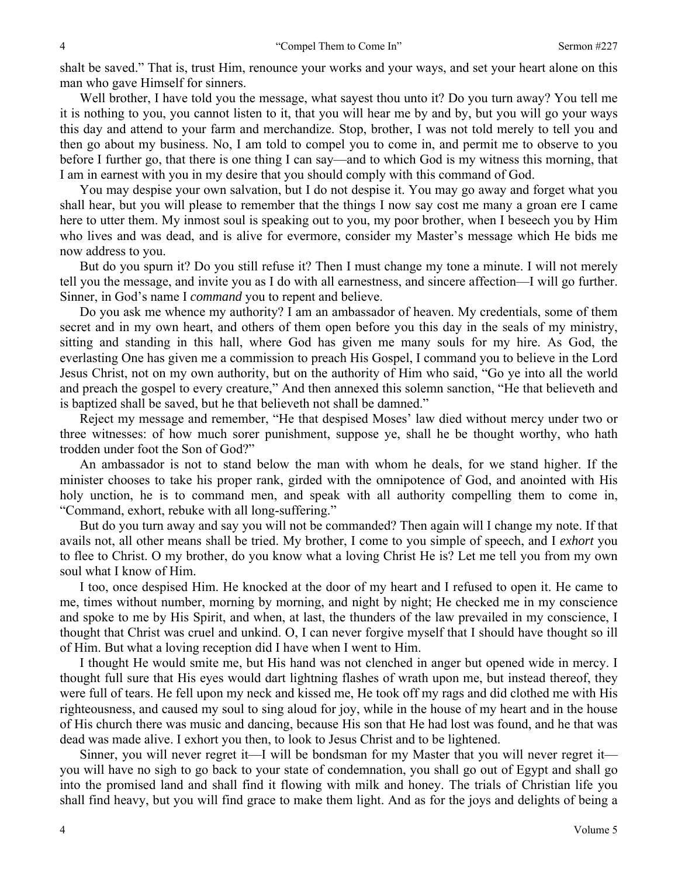shalt be saved." That is, trust Him, renounce your works and your ways, and set your heart alone on this man who gave Himself for sinners.

Well brother, I have told you the message, what sayest thou unto it? Do you turn away? You tell me it is nothing to you, you cannot listen to it, that you will hear me by and by, but you will go your ways this day and attend to your farm and merchandize. Stop, brother, I was not told merely to tell you and then go about my business. No, I am told to compel you to come in, and permit me to observe to you before I further go, that there is one thing I can say—and to which God is my witness this morning, that I am in earnest with you in my desire that you should comply with this command of God.

You may despise your own salvation, but I do not despise it. You may go away and forget what you shall hear, but you will please to remember that the things I now say cost me many a groan ere I came here to utter them. My inmost soul is speaking out to you, my poor brother, when I beseech you by Him who lives and was dead, and is alive for evermore, consider my Master's message which He bids me now address to you.

But do you spurn it? Do you still refuse it? Then I must change my tone a minute. I will not merely tell you the message, and invite you as I do with all earnestness, and sincere affection—I will go further. Sinner, in God's name I *command* you to repent and believe.

Do you ask me whence my authority? I am an ambassador of heaven. My credentials, some of them secret and in my own heart, and others of them open before you this day in the seals of my ministry, sitting and standing in this hall, where God has given me many souls for my hire. As God, the everlasting One has given me a commission to preach His Gospel, I command you to believe in the Lord Jesus Christ, not on my own authority, but on the authority of Him who said, "Go ye into all the world and preach the gospel to every creature," And then annexed this solemn sanction, "He that believeth and is baptized shall be saved, but he that believeth not shall be damned."

Reject my message and remember, "He that despised Moses' law died without mercy under two or three witnesses: of how much sorer punishment, suppose ye, shall he be thought worthy, who hath trodden under foot the Son of God?"

An ambassador is not to stand below the man with whom he deals, for we stand higher. If the minister chooses to take his proper rank, girded with the omnipotence of God, and anointed with His holy unction, he is to command men, and speak with all authority compelling them to come in, "Command, exhort, rebuke with all long-suffering."

But do you turn away and say you will not be commanded? Then again will I change my note. If that avails not, all other means shall be tried. My brother, I come to you simple of speech, and I *exhort* you to flee to Christ. O my brother, do you know what a loving Christ He is? Let me tell you from my own soul what I know of Him.

I too, once despised Him. He knocked at the door of my heart and I refused to open it. He came to me, times without number, morning by morning, and night by night; He checked me in my conscience and spoke to me by His Spirit, and when, at last, the thunders of the law prevailed in my conscience, I thought that Christ was cruel and unkind. O, I can never forgive myself that I should have thought so ill of Him. But what a loving reception did I have when I went to Him.

I thought He would smite me, but His hand was not clenched in anger but opened wide in mercy. I thought full sure that His eyes would dart lightning flashes of wrath upon me, but instead thereof, they were full of tears. He fell upon my neck and kissed me, He took off my rags and did clothed me with His righteousness, and caused my soul to sing aloud for joy, while in the house of my heart and in the house of His church there was music and dancing, because His son that He had lost was found, and he that was dead was made alive. I exhort you then, to look to Jesus Christ and to be lightened.

Sinner, you will never regret it—I will be bondsman for my Master that you will never regret it you will have no sigh to go back to your state of condemnation, you shall go out of Egypt and shall go into the promised land and shall find it flowing with milk and honey. The trials of Christian life you shall find heavy, but you will find grace to make them light. And as for the joys and delights of being a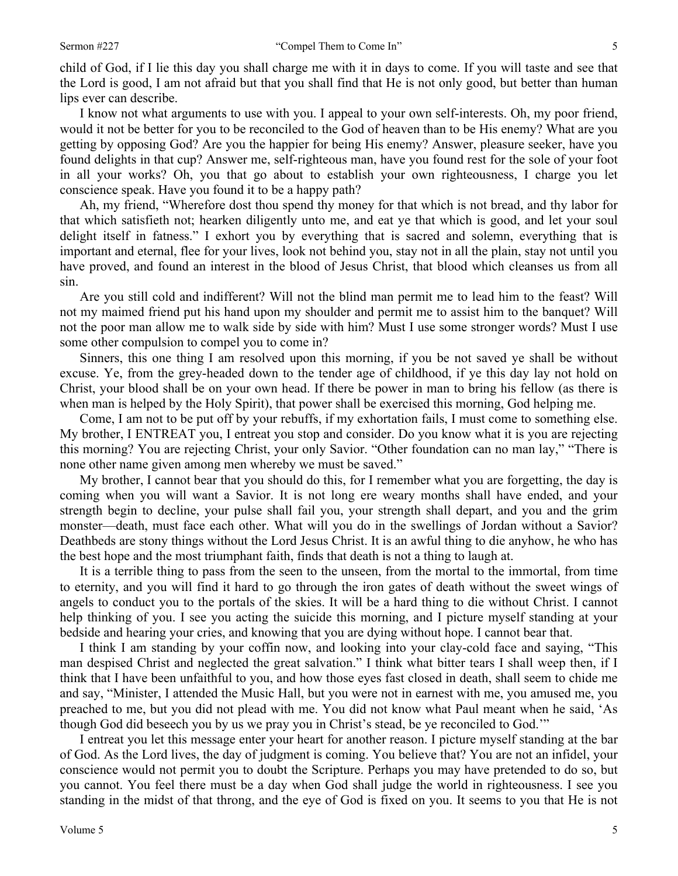child of God, if I lie this day you shall charge me with it in days to come. If you will taste and see that the Lord is good, I am not afraid but that you shall find that He is not only good, but better than human lips ever can describe.

I know not what arguments to use with you. I appeal to your own self-interests. Oh, my poor friend, would it not be better for you to be reconciled to the God of heaven than to be His enemy? What are you getting by opposing God? Are you the happier for being His enemy? Answer, pleasure seeker, have you found delights in that cup? Answer me, self-righteous man, have you found rest for the sole of your foot in all your works? Oh, you that go about to establish your own righteousness, I charge you let conscience speak. Have you found it to be a happy path?

Ah, my friend, "Wherefore dost thou spend thy money for that which is not bread, and thy labor for that which satisfieth not; hearken diligently unto me, and eat ye that which is good, and let your soul delight itself in fatness." I exhort you by everything that is sacred and solemn, everything that is important and eternal, flee for your lives, look not behind you, stay not in all the plain, stay not until you have proved, and found an interest in the blood of Jesus Christ, that blood which cleanses us from all sin.

Are you still cold and indifferent? Will not the blind man permit me to lead him to the feast? Will not my maimed friend put his hand upon my shoulder and permit me to assist him to the banquet? Will not the poor man allow me to walk side by side with him? Must I use some stronger words? Must I use some other compulsion to compel you to come in?

Sinners, this one thing I am resolved upon this morning, if you be not saved ye shall be without excuse. Ye, from the grey-headed down to the tender age of childhood, if ye this day lay not hold on Christ, your blood shall be on your own head. If there be power in man to bring his fellow (as there is when man is helped by the Holy Spirit), that power shall be exercised this morning, God helping me.

Come, I am not to be put off by your rebuffs, if my exhortation fails, I must come to something else. My brother, I ENTREAT you, I entreat you stop and consider. Do you know what it is you are rejecting this morning? You are rejecting Christ, your only Savior. "Other foundation can no man lay," "There is none other name given among men whereby we must be saved."

My brother, I cannot bear that you should do this, for I remember what you are forgetting, the day is coming when you will want a Savior. It is not long ere weary months shall have ended, and your strength begin to decline, your pulse shall fail you, your strength shall depart, and you and the grim monster—death, must face each other. What will you do in the swellings of Jordan without a Savior? Deathbeds are stony things without the Lord Jesus Christ. It is an awful thing to die anyhow, he who has the best hope and the most triumphant faith, finds that death is not a thing to laugh at.

It is a terrible thing to pass from the seen to the unseen, from the mortal to the immortal, from time to eternity, and you will find it hard to go through the iron gates of death without the sweet wings of angels to conduct you to the portals of the skies. It will be a hard thing to die without Christ. I cannot help thinking of you. I see you acting the suicide this morning, and I picture myself standing at your bedside and hearing your cries, and knowing that you are dying without hope. I cannot bear that.

I think I am standing by your coffin now, and looking into your clay-cold face and saying, "This man despised Christ and neglected the great salvation." I think what bitter tears I shall weep then, if I think that I have been unfaithful to you, and how those eyes fast closed in death, shall seem to chide me and say, "Minister, I attended the Music Hall, but you were not in earnest with me, you amused me, you preached to me, but you did not plead with me. You did not know what Paul meant when he said, 'As though God did beseech you by us we pray you in Christ's stead, be ye reconciled to God.'"

I entreat you let this message enter your heart for another reason. I picture myself standing at the bar of God. As the Lord lives, the day of judgment is coming. You believe that? You are not an infidel, your conscience would not permit you to doubt the Scripture. Perhaps you may have pretended to do so, but you cannot. You feel there must be a day when God shall judge the world in righteousness. I see you standing in the midst of that throng, and the eye of God is fixed on you. It seems to you that He is not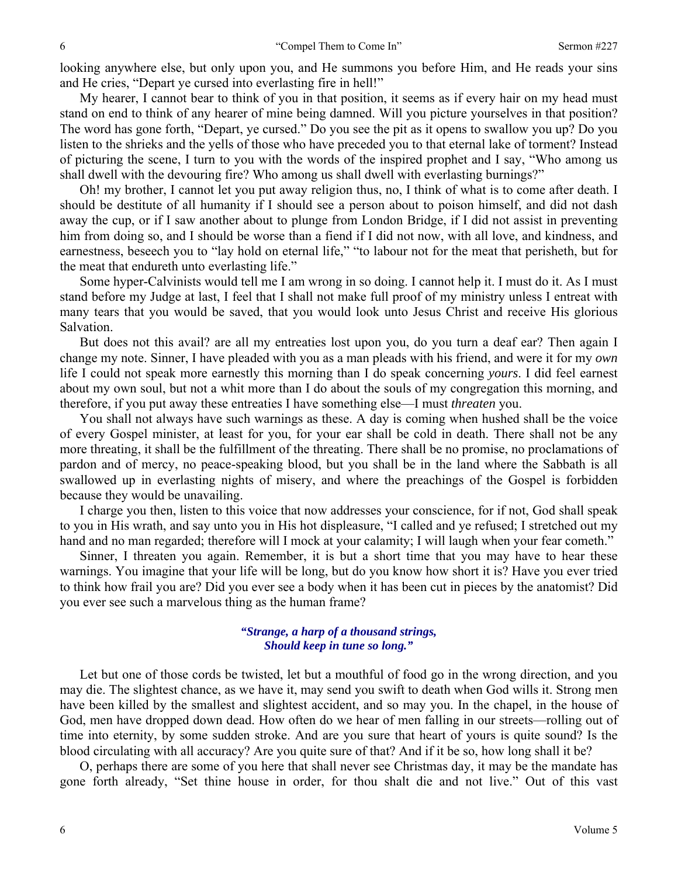looking anywhere else, but only upon you, and He summons you before Him, and He reads your sins and He cries, "Depart ye cursed into everlasting fire in hell!"

My hearer, I cannot bear to think of you in that position, it seems as if every hair on my head must stand on end to think of any hearer of mine being damned. Will you picture yourselves in that position? The word has gone forth, "Depart, ye cursed." Do you see the pit as it opens to swallow you up? Do you listen to the shrieks and the yells of those who have preceded you to that eternal lake of torment? Instead of picturing the scene, I turn to you with the words of the inspired prophet and I say, "Who among us shall dwell with the devouring fire? Who among us shall dwell with everlasting burnings?"

Oh! my brother, I cannot let you put away religion thus, no, I think of what is to come after death. I should be destitute of all humanity if I should see a person about to poison himself, and did not dash away the cup, or if I saw another about to plunge from London Bridge, if I did not assist in preventing him from doing so, and I should be worse than a fiend if I did not now, with all love, and kindness, and earnestness, beseech you to "lay hold on eternal life," "to labour not for the meat that perisheth, but for the meat that endureth unto everlasting life."

Some hyper-Calvinists would tell me I am wrong in so doing. I cannot help it. I must do it. As I must stand before my Judge at last, I feel that I shall not make full proof of my ministry unless I entreat with many tears that you would be saved, that you would look unto Jesus Christ and receive His glorious Salvation.

But does not this avail? are all my entreaties lost upon you, do you turn a deaf ear? Then again I change my note. Sinner, I have pleaded with you as a man pleads with his friend, and were it for my *own* life I could not speak more earnestly this morning than I do speak concerning *yours*. I did feel earnest about my own soul, but not a whit more than I do about the souls of my congregation this morning, and therefore, if you put away these entreaties I have something else—I must *threaten* you.

You shall not always have such warnings as these. A day is coming when hushed shall be the voice of every Gospel minister, at least for you, for your ear shall be cold in death. There shall not be any more threating, it shall be the fulfillment of the threating. There shall be no promise, no proclamations of pardon and of mercy, no peace-speaking blood, but you shall be in the land where the Sabbath is all swallowed up in everlasting nights of misery, and where the preachings of the Gospel is forbidden because they would be unavailing.

I charge you then, listen to this voice that now addresses your conscience, for if not, God shall speak to you in His wrath, and say unto you in His hot displeasure, "I called and ye refused; I stretched out my hand and no man regarded; therefore will I mock at your calamity; I will laugh when your fear cometh."

Sinner, I threaten you again. Remember, it is but a short time that you may have to hear these warnings. You imagine that your life will be long, but do you know how short it is? Have you ever tried to think how frail you are? Did you ever see a body when it has been cut in pieces by the anatomist? Did you ever see such a marvelous thing as the human frame?

#### *"Strange, a harp of a thousand strings, Should keep in tune so long."*

Let but one of those cords be twisted, let but a mouthful of food go in the wrong direction, and you may die. The slightest chance, as we have it, may send you swift to death when God wills it. Strong men have been killed by the smallest and slightest accident, and so may you. In the chapel, in the house of God, men have dropped down dead. How often do we hear of men falling in our streets—rolling out of time into eternity, by some sudden stroke. And are you sure that heart of yours is quite sound? Is the blood circulating with all accuracy? Are you quite sure of that? And if it be so, how long shall it be?

O, perhaps there are some of you here that shall never see Christmas day, it may be the mandate has gone forth already, "Set thine house in order, for thou shalt die and not live." Out of this vast

6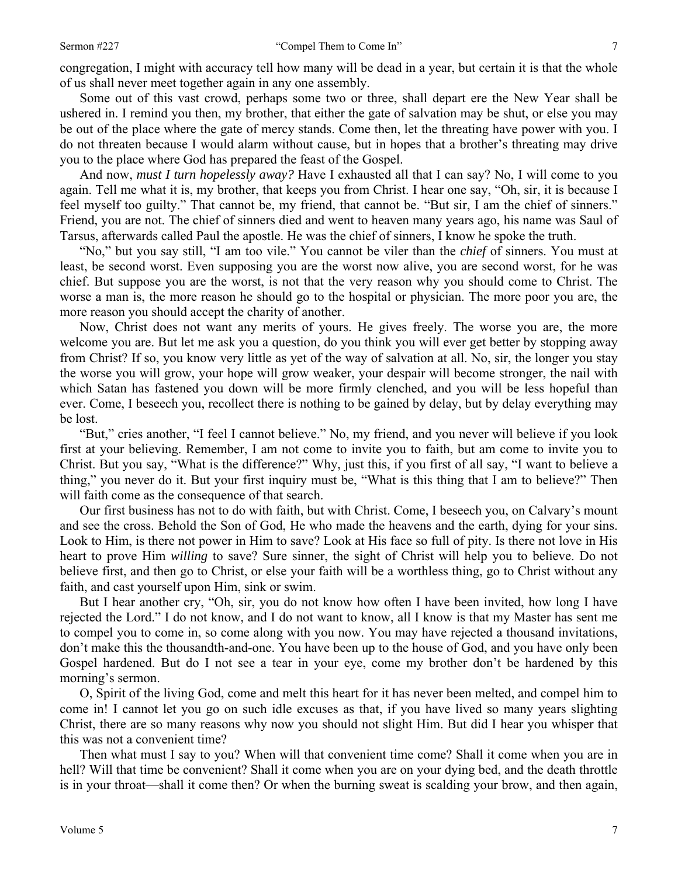7

congregation, I might with accuracy tell how many will be dead in a year, but certain it is that the whole of us shall never meet together again in any one assembly.

Some out of this vast crowd, perhaps some two or three, shall depart ere the New Year shall be ushered in. I remind you then, my brother, that either the gate of salvation may be shut, or else you may be out of the place where the gate of mercy stands. Come then, let the threating have power with you. I do not threaten because I would alarm without cause, but in hopes that a brother's threating may drive you to the place where God has prepared the feast of the Gospel.

And now, *must I turn hopelessly away?* Have I exhausted all that I can say? No, I will come to you again. Tell me what it is, my brother, that keeps you from Christ. I hear one say, "Oh, sir, it is because I feel myself too guilty." That cannot be, my friend, that cannot be. "But sir, I am the chief of sinners." Friend, you are not. The chief of sinners died and went to heaven many years ago, his name was Saul of Tarsus, afterwards called Paul the apostle. He was the chief of sinners, I know he spoke the truth.

"No," but you say still, "I am too vile." You cannot be viler than the *chief* of sinners. You must at least, be second worst. Even supposing you are the worst now alive, you are second worst, for he was chief. But suppose you are the worst, is not that the very reason why you should come to Christ. The worse a man is, the more reason he should go to the hospital or physician. The more poor you are, the more reason you should accept the charity of another.

Now, Christ does not want any merits of yours. He gives freely. The worse you are, the more welcome you are. But let me ask you a question, do you think you will ever get better by stopping away from Christ? If so, you know very little as yet of the way of salvation at all. No, sir, the longer you stay the worse you will grow, your hope will grow weaker, your despair will become stronger, the nail with which Satan has fastened you down will be more firmly clenched, and you will be less hopeful than ever. Come, I beseech you, recollect there is nothing to be gained by delay, but by delay everything may be lost.

"But," cries another, "I feel I cannot believe." No, my friend, and you never will believe if you look first at your believing. Remember, I am not come to invite you to faith, but am come to invite you to Christ. But you say, "What is the difference?" Why, just this, if you first of all say, "I want to believe a thing," you never do it. But your first inquiry must be, "What is this thing that I am to believe?" Then will faith come as the consequence of that search.

Our first business has not to do with faith, but with Christ. Come, I beseech you, on Calvary's mount and see the cross. Behold the Son of God, He who made the heavens and the earth, dying for your sins. Look to Him, is there not power in Him to save? Look at His face so full of pity. Is there not love in His heart to prove Him *willing* to save? Sure sinner, the sight of Christ will help you to believe. Do not believe first, and then go to Christ, or else your faith will be a worthless thing, go to Christ without any faith, and cast yourself upon Him, sink or swim.

But I hear another cry, "Oh, sir, you do not know how often I have been invited, how long I have rejected the Lord." I do not know, and I do not want to know, all I know is that my Master has sent me to compel you to come in, so come along with you now. You may have rejected a thousand invitations, don't make this the thousandth-and-one. You have been up to the house of God, and you have only been Gospel hardened. But do I not see a tear in your eye, come my brother don't be hardened by this morning's sermon.

O, Spirit of the living God, come and melt this heart for it has never been melted, and compel him to come in! I cannot let you go on such idle excuses as that, if you have lived so many years slighting Christ, there are so many reasons why now you should not slight Him. But did I hear you whisper that this was not a convenient time?

Then what must I say to you? When will that convenient time come? Shall it come when you are in hell? Will that time be convenient? Shall it come when you are on your dying bed, and the death throttle is in your throat—shall it come then? Or when the burning sweat is scalding your brow, and then again,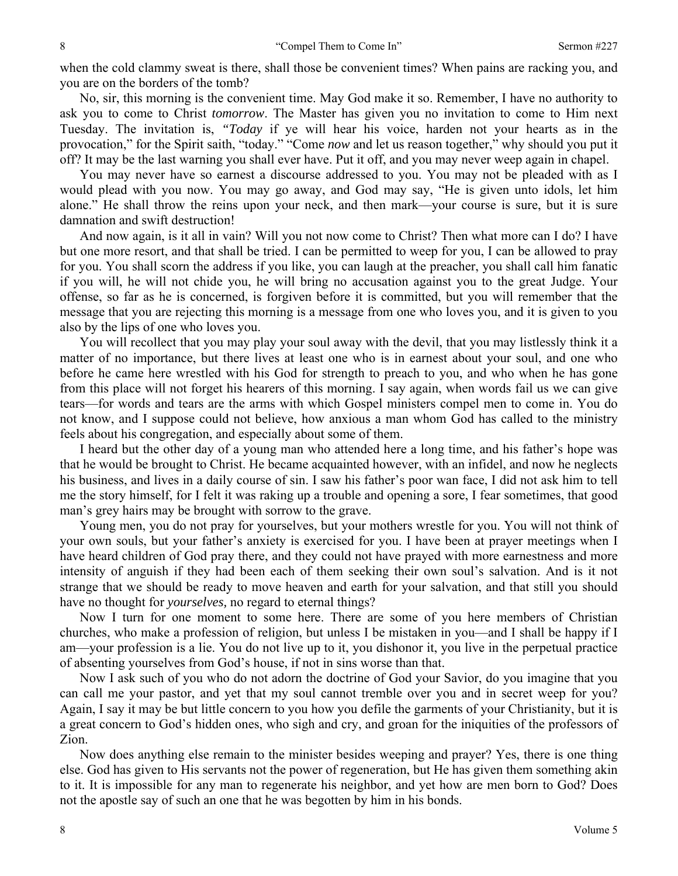when the cold clammy sweat is there, shall those be convenient times? When pains are racking you, and you are on the borders of the tomb?

No, sir, this morning is the convenient time. May God make it so. Remember, I have no authority to ask you to come to Christ *tomorrow*. The Master has given you no invitation to come to Him next Tuesday. The invitation is, *"Today* if ye will hear his voice, harden not your hearts as in the provocation," for the Spirit saith, "today." "Come *now* and let us reason together," why should you put it off? It may be the last warning you shall ever have. Put it off, and you may never weep again in chapel.

You may never have so earnest a discourse addressed to you. You may not be pleaded with as I would plead with you now. You may go away, and God may say, "He is given unto idols, let him alone." He shall throw the reins upon your neck, and then mark—your course is sure, but it is sure damnation and swift destruction!

And now again, is it all in vain? Will you not now come to Christ? Then what more can I do? I have but one more resort, and that shall be tried. I can be permitted to weep for you, I can be allowed to pray for you. You shall scorn the address if you like, you can laugh at the preacher, you shall call him fanatic if you will, he will not chide you, he will bring no accusation against you to the great Judge. Your offense, so far as he is concerned, is forgiven before it is committed, but you will remember that the message that you are rejecting this morning is a message from one who loves you, and it is given to you also by the lips of one who loves you.

You will recollect that you may play your soul away with the devil, that you may listlessly think it a matter of no importance, but there lives at least one who is in earnest about your soul, and one who before he came here wrestled with his God for strength to preach to you, and who when he has gone from this place will not forget his hearers of this morning. I say again, when words fail us we can give tears—for words and tears are the arms with which Gospel ministers compel men to come in. You do not know, and I suppose could not believe, how anxious a man whom God has called to the ministry feels about his congregation, and especially about some of them.

I heard but the other day of a young man who attended here a long time, and his father's hope was that he would be brought to Christ. He became acquainted however, with an infidel, and now he neglects his business, and lives in a daily course of sin. I saw his father's poor wan face, I did not ask him to tell me the story himself, for I felt it was raking up a trouble and opening a sore, I fear sometimes, that good man's grey hairs may be brought with sorrow to the grave.

Young men, you do not pray for yourselves, but your mothers wrestle for you. You will not think of your own souls, but your father's anxiety is exercised for you. I have been at prayer meetings when I have heard children of God pray there, and they could not have prayed with more earnestness and more intensity of anguish if they had been each of them seeking their own soul's salvation. And is it not strange that we should be ready to move heaven and earth for your salvation, and that still you should have no thought for *yourselves,* no regard to eternal things?

Now I turn for one moment to some here. There are some of you here members of Christian churches, who make a profession of religion, but unless I be mistaken in you—and I shall be happy if I am—your profession is a lie. You do not live up to it, you dishonor it, you live in the perpetual practice of absenting yourselves from God's house, if not in sins worse than that.

Now I ask such of you who do not adorn the doctrine of God your Savior, do you imagine that you can call me your pastor, and yet that my soul cannot tremble over you and in secret weep for you? Again, I say it may be but little concern to you how you defile the garments of your Christianity, but it is a great concern to God's hidden ones, who sigh and cry, and groan for the iniquities of the professors of Zion.

Now does anything else remain to the minister besides weeping and prayer? Yes, there is one thing else. God has given to His servants not the power of regeneration, but He has given them something akin to it. It is impossible for any man to regenerate his neighbor, and yet how are men born to God? Does not the apostle say of such an one that he was begotten by him in his bonds.